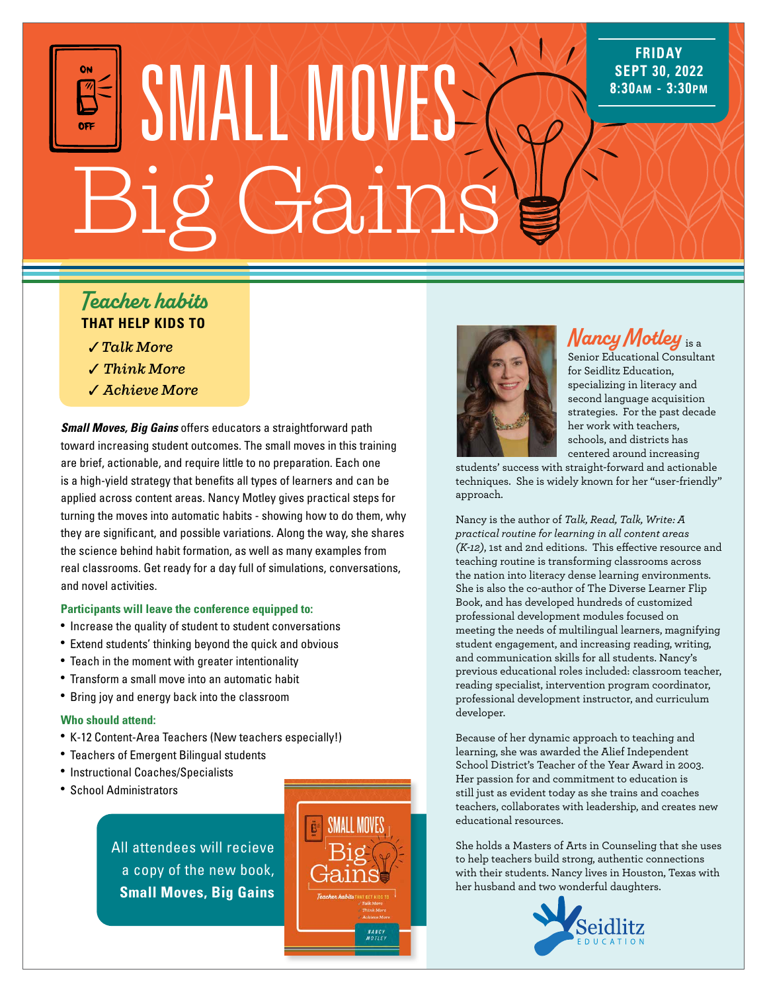# **SMALL MOVES** Gains

### *Teacher habits* **THAT HELP KIDS TO**

- ✓*Talk More*
- ✓ *Think More*
- ✓ *Achieve More*

*Small Moves, Big Gains* offers educators a straightforward path toward increasing student outcomes. The small moves in this training are brief, actionable, and require little to no preparation. Each one is a high-yield strategy that benefits all types of learners and can be applied across content areas. Nancy Motley gives practical steps for turning the moves into automatic habits - showing how to do them, why they are significant, and possible variations. Along the way, she shares the science behind habit formation, as well as many examples from real classrooms. Get ready for a day full of simulations, conversations, and novel activities.

#### **Participants will leave the conference equipped to:**

- Increase the quality of student to student conversations
- Extend students' thinking beyond the quick and obvious
- Teach in the moment with greater intentionality
- Transform a small move into an automatic habit
- Bring joy and energy back into the classroom

#### **Who should attend:**

- K-12 Content-Area Teachers (New teachers especially!)
- Teachers of Emergent Bilingual students
- Instructional Coaches/Specialists
- School Administrators

All attendees will recieve a copy of the new book, **Small Moves, Big Gains**





## *Nancy Motley* is a

**FRIDAY SEPT 30, 2022**

Senior Educational Consultant for Seidlitz Education, specializing in literacy and second language acquisition strategies. For the past decade her work with teachers, schools, and districts has centered around increasing

students' success with straight-forward and actionable techniques. She is widely known for her "user-friendly" approach.

Nancy is the author of *Talk, Read, Talk, Write: A practical routine for learning in all content areas (K-12)*, 1st and 2nd editions. This effective resource and teaching routine is transforming classrooms across the nation into literacy dense learning environments. She is also the co-author of The Diverse Learner Flip Book, and has developed hundreds of customized professional development modules focused on meeting the needs of multilingual learners, magnifying student engagement, and increasing reading, writing, and communication skills for all students. Nancy's previous educational roles included: classroom teacher, reading specialist, intervention program coordinator, professional development instructor, and curriculum developer.

Because of her dynamic approach to teaching and learning, she was awarded the Alief Independent School District's Teacher of the Year Award in 2003. Her passion for and commitment to education is still just as evident today as she trains and coaches teachers, collaborates with leadership, and creates new educational resources.

She holds a Masters of Arts in Counseling that she uses to help teachers build strong, authentic connections with their students. Nancy lives in Houston, Texas with her husband and two wonderful daughters.